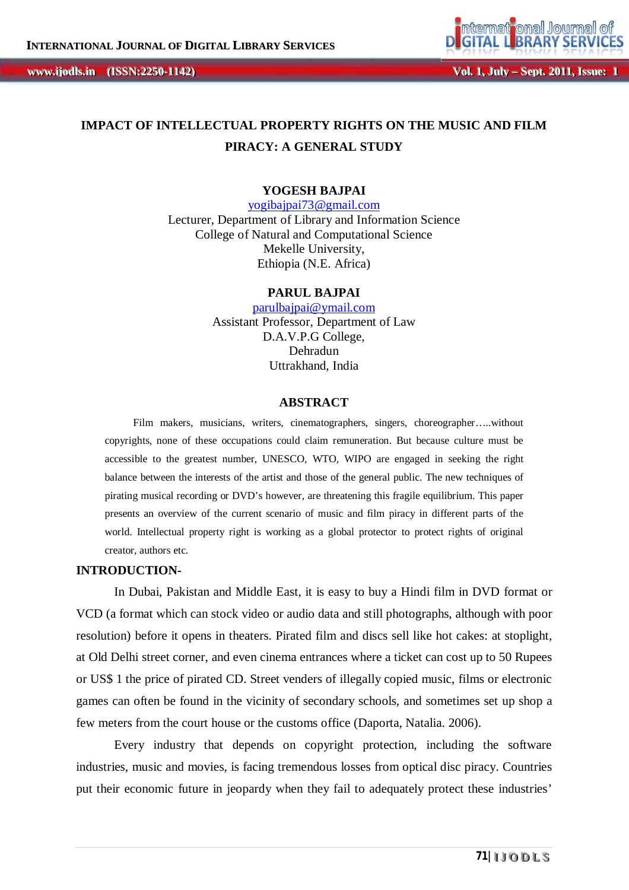

# **IMPACT OF INTELLECTUAL PROPERTY RIGHTS ON THE MUSIC AND FILM PIRACY: A GENERAL STUDY**

### **YOGESH BAJPAI**

yogibajpai73@gmail.com Lecturer, Department of Library and Information Science College of Natural and Computational Science Mekelle University, Ethiopia (N.E. Africa)

#### **PARUL BAJPAI**

parulbajpai@ymail.com Assistant Professor, Department of Law D.A.V.P.G College, Dehradun Uttrakhand, India

### **ABSTRACT**

Film makers, musicians, writers, cinematographers, singers, choreographer…..without copyrights, none of these occupations could claim remuneration. But because culture must be accessible to the greatest number, UNESCO, WTO, WIPO are engaged in seeking the right balance between the interests of the artist and those of the general public. The new techniques of pirating musical recording or DVD's however, are threatening this fragile equilibrium. This paper presents an overview of the current scenario of music and film piracy in different parts of the world. Intellectual property right is working as a global protector to protect rights of original creator, authors etc.

#### **INTRODUCTION-**

In Dubai, Pakistan and Middle East, it is easy to buy a Hindi film in DVD format or VCD (a format which can stock video or audio data and still photographs, although with poor resolution) before it opens in theaters. Pirated film and discs sell like hot cakes: at stoplight, at Old Delhi street corner, and even cinema entrances where a ticket can cost up to 50 Rupees or US\$ 1 the price of pirated CD. Street venders of illegally copied music, films or electronic games can often be found in the vicinity of secondary schools, and sometimes set up shop a few meters from the court house or the customs office (Daporta, Natalia. 2006).

Every industry that depends on copyright protection, including the software industries, music and movies, is facing tremendous losses from optical disc piracy. Countries put their economic future in jeopardy when they fail to adequately protect these industries'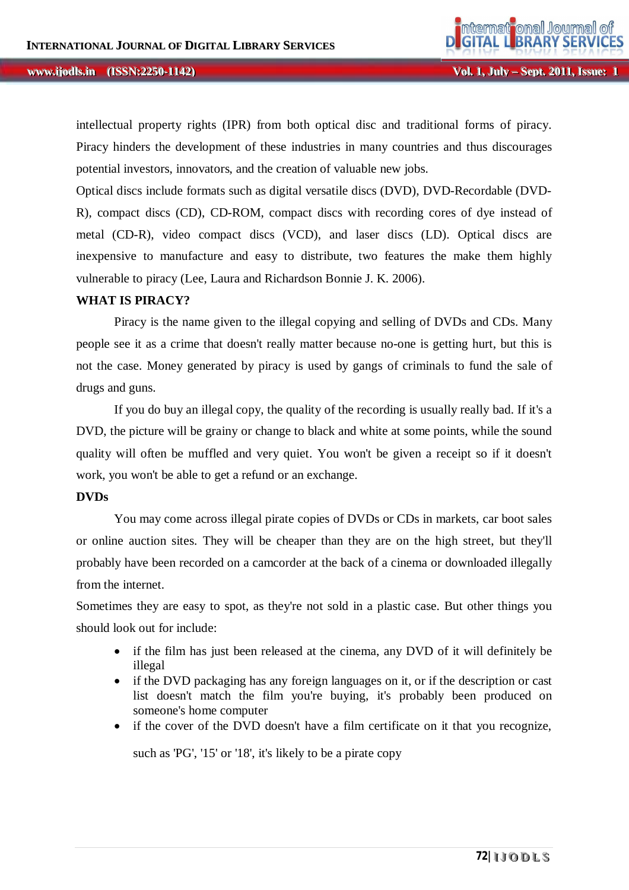intellectual property rights (IPR) from both optical disc and traditional forms of piracy. Piracy hinders the development of these industries in many countries and thus discourages potential investors, innovators, and the creation of valuable new jobs.

Optical discs include formats such as digital versatile discs (DVD), DVD-Recordable (DVD-R), compact discs (CD), CD-ROM, compact discs with recording cores of dye instead of metal (CD-R), video compact discs (VCD), and laser discs (LD). Optical discs are inexpensive to manufacture and easy to distribute, two features the make them highly vulnerable to piracy (Lee, Laura and Richardson Bonnie J. K. 2006).

### **WHAT IS PIRACY?**

Piracy is the name given to the illegal copying and selling of DVDs and CDs. Many people see it as a crime that doesn't really matter because no-one is getting hurt, but this is not the case. Money generated by piracy is used by gangs of criminals to fund the sale of drugs and guns.

If you do buy an illegal copy, the quality of the recording is usually really bad. If it's a DVD, the picture will be grainy or change to black and white at some points, while the sound quality will often be muffled and very quiet. You won't be given a receipt so if it doesn't work, you won't be able to get a refund or an exchange.

#### **DVDs**

You may come across illegal pirate copies of DVDs or CDs in markets, car boot sales or online auction sites. They will be cheaper than they are on the high street, but they'll probably have been recorded on a camcorder at the back of a cinema or downloaded illegally from the internet.

Sometimes they are easy to spot, as they're not sold in a plastic case. But other things you should look out for include:

- if the film has just been released at the cinema, any DVD of it will definitely be illegal
- if the DVD packaging has any foreign languages on it, or if the description or cast list doesn't match the film you're buying, it's probably been produced on someone's home computer
- if the cover of the DVD doesn't have a film certificate on it that you recognize,

such as 'PG', '15' or '18', it's likely to be a pirate copy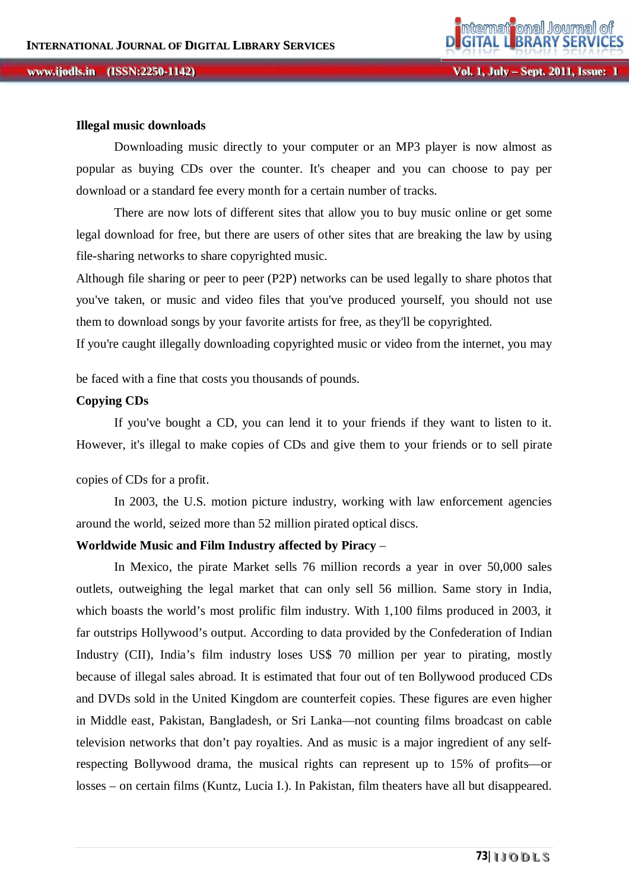#### **ii jjooddllss...** *iISSN:2250-1142)*

#### **Illegal music downloads**

Downloading music directly to your computer or an MP3 player is now almost as popular as buying CDs over the counter. It's cheaper and you can choose to pay per download or a standard fee every month for a certain number of tracks.

There are now lots of different sites that allow you to buy music online or get some legal download for free, but there are users of other sites that are breaking the law by using file-sharing networks to share copyrighted music.

Although file sharing or peer to peer (P2P) networks can be used legally to share photos that you've taken, or music and video files that you've produced yourself, you should not use them to download songs by your favorite artists for free, as they'll be copyrighted.

If you're caught illegally downloading copyrighted music or video from the internet, you may

be faced with a fine that costs you thousands of pounds.

### **Copying CDs**

If you've bought a CD, you can lend it to your friends if they want to listen to it. However, it's illegal to make copies of CDs and give them to your friends or to sell pirate

copies of CDs for a profit.

In 2003, the U.S. motion picture industry, working with law enforcement agencies around the world, seized more than 52 million pirated optical discs.

#### **Worldwide Music and Film Industry affected by Piracy** –

In Mexico, the pirate Market sells 76 million records a year in over 50,000 sales outlets, outweighing the legal market that can only sell 56 million. Same story in India, which boasts the world's most prolific film industry. With 1,100 films produced in 2003, it far outstrips Hollywood's output. According to data provided by the Confederation of Indian Industry (CII), India's film industry loses US\$ 70 million per year to pirating, mostly because of illegal sales abroad. It is estimated that four out of ten Bollywood produced CDs and DVDs sold in the United Kingdom are counterfeit copies. These figures are even higher in Middle east, Pakistan, Bangladesh, or Sri Lanka—not counting films broadcast on cable television networks that don't pay royalties. And as music is a major ingredient of any selfrespecting Bollywood drama, the musical rights can represent up to 15% of profits—or losses – on certain films (Kuntz, Lucia I.). In Pakistan, film theaters have all but disappeared.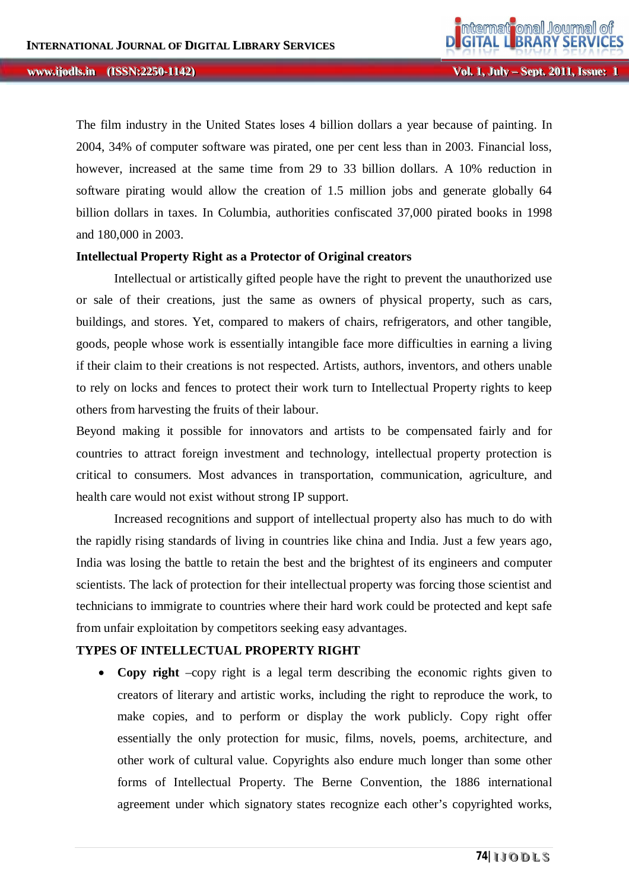$Vol. 1, J$ ul *ly* **– Sept. 2011, Issue: 1** 

The film industry in the United States loses 4 billion dollars a year because of painting. In 2004, 34% of computer software was pirated, one per cent less than in 2003. Financial loss, however, increased at the same time from 29 to 33 billion dollars. A 10% reduction in software pirating would allow the creation of 1.5 million jobs and generate globally 64 billion dollars in taxes. In Columbia, authorities confiscated 37,000 pirated books in 1998 and 180,000 in 2003.

#### **Intellectual Property Right as a Protector of Original creators**

Intellectual or artistically gifted people have the right to prevent the unauthorized use or sale of their creations, just the same as owners of physical property, such as cars, buildings, and stores. Yet, compared to makers of chairs, refrigerators, and other tangible, goods, people whose work is essentially intangible face more difficulties in earning a living if their claim to their creations is not respected. Artists, authors, inventors, and others unable to rely on locks and fences to protect their work turn to Intellectual Property rights to keep others from harvesting the fruits of their labour.

Beyond making it possible for innovators and artists to be compensated fairly and for countries to attract foreign investment and technology, intellectual property protection is critical to consumers. Most advances in transportation, communication, agriculture, and health care would not exist without strong IP support.

Increased recognitions and support of intellectual property also has much to do with the rapidly rising standards of living in countries like china and India. Just a few years ago, India was losing the battle to retain the best and the brightest of its engineers and computer scientists. The lack of protection for their intellectual property was forcing those scientist and technicians to immigrate to countries where their hard work could be protected and kept safe from unfair exploitation by competitors seeking easy advantages.

### **TYPES OF INTELLECTUAL PROPERTY RIGHT**

 **Copy right** –copy right is a legal term describing the economic rights given to creators of literary and artistic works, including the right to reproduce the work, to make copies, and to perform or display the work publicly. Copy right offer essentially the only protection for music, films, novels, poems, architecture, and other work of cultural value. Copyrights also endure much longer than some other forms of Intellectual Property. The Berne Convention, the 1886 international agreement under which signatory states recognize each other's copyrighted works,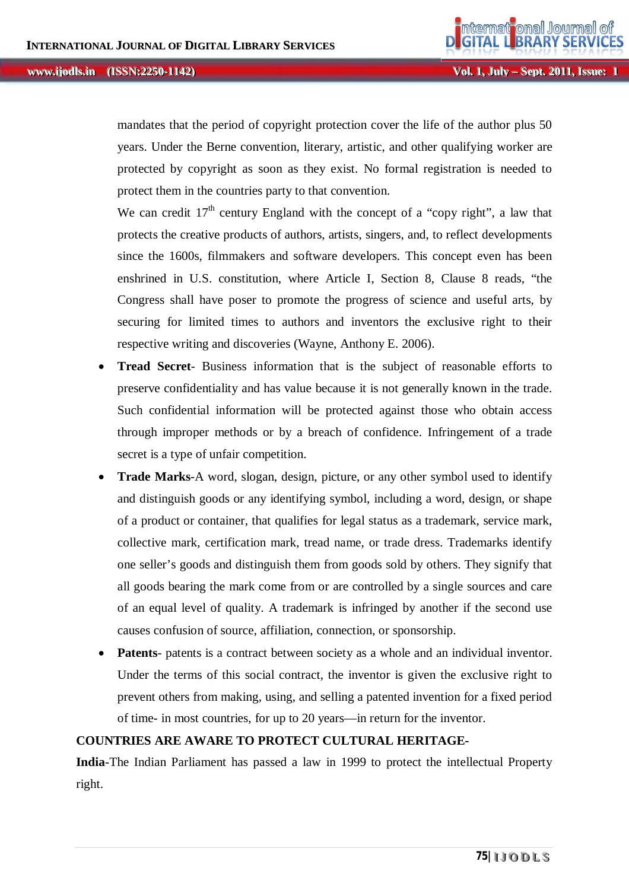mandates that the period of copyright protection cover the life of the author plus 50 years. Under the Berne convention, literary, artistic, and other qualifying worker are protected by copyright as soon as they exist. No formal registration is needed to protect them in the countries party to that convention.

We can credit  $17<sup>th</sup>$  century England with the concept of a "copy right", a law that protects the creative products of authors, artists, singers, and, to reflect developments since the 1600s, filmmakers and software developers. This concept even has been enshrined in U.S. constitution, where Article I, Section 8, Clause 8 reads, "the Congress shall have poser to promote the progress of science and useful arts, by securing for limited times to authors and inventors the exclusive right to their respective writing and discoveries (Wayne, Anthony E. 2006).

- **Tread Secret** Business information that is the subject of reasonable efforts to preserve confidentiality and has value because it is not generally known in the trade. Such confidential information will be protected against those who obtain access through improper methods or by a breach of confidence. Infringement of a trade secret is a type of unfair competition.
- **Trade Marks**-A word, slogan, design, picture, or any other symbol used to identify and distinguish goods or any identifying symbol, including a word, design, or shape of a product or container, that qualifies for legal status as a trademark, service mark, collective mark, certification mark, tread name, or trade dress. Trademarks identify one seller's goods and distinguish them from goods sold by others. They signify that all goods bearing the mark come from or are controlled by a single sources and care of an equal level of quality. A trademark is infringed by another if the second use causes confusion of source, affiliation, connection, or sponsorship.
- **Patents** patents is a contract between society as a whole and an individual inventor. Under the terms of this social contract, the inventor is given the exclusive right to prevent others from making, using, and selling a patented invention for a fixed period of time- in most countries, for up to 20 years—in return for the inventor.

## **COUNTRIES ARE AWARE TO PROTECT CULTURAL HERITAGE-**

**India**-The Indian Parliament has passed a law in 1999 to protect the intellectual Property right.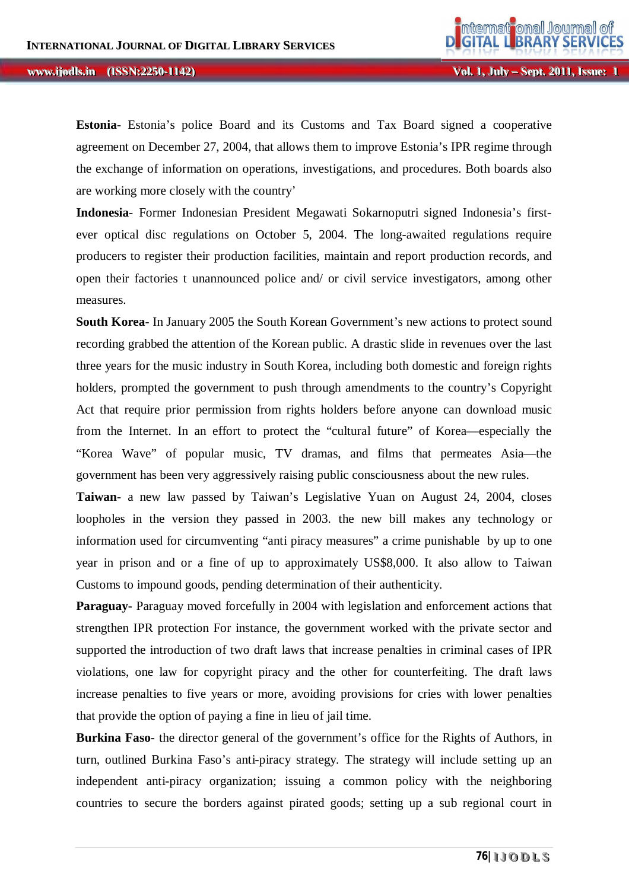**Estonia**- Estonia's police Board and its Customs and Tax Board signed a cooperative agreement on December 27, 2004, that allows them to improve Estonia's IPR regime through the exchange of information on operations, investigations, and procedures. Both boards also are working more closely with the country'

**Indonesia**- Former Indonesian President Megawati Sokarnoputri signed Indonesia's firstever optical disc regulations on October 5, 2004. The long-awaited regulations require producers to register their production facilities, maintain and report production records, and open their factories t unannounced police and/ or civil service investigators, among other measures.

**South Korea**- In January 2005 the South Korean Government's new actions to protect sound recording grabbed the attention of the Korean public. A drastic slide in revenues over the last three years for the music industry in South Korea, including both domestic and foreign rights holders, prompted the government to push through amendments to the country's Copyright Act that require prior permission from rights holders before anyone can download music from the Internet. In an effort to protect the "cultural future" of Korea—especially the "Korea Wave" of popular music, TV dramas, and films that permeates Asia—the government has been very aggressively raising public consciousness about the new rules.

**Taiwan**- a new law passed by Taiwan's Legislative Yuan on August 24, 2004, closes loopholes in the version they passed in 2003. the new bill makes any technology or information used for circumventing "anti piracy measures" a crime punishable by up to one year in prison and or a fine of up to approximately US\$8,000. It also allow to Taiwan Customs to impound goods, pending determination of their authenticity.

**Paraguay**- Paraguay moved forcefully in 2004 with legislation and enforcement actions that strengthen IPR protection For instance, the government worked with the private sector and supported the introduction of two draft laws that increase penalties in criminal cases of IPR violations, one law for copyright piracy and the other for counterfeiting. The draft laws increase penalties to five years or more, avoiding provisions for cries with lower penalties that provide the option of paying a fine in lieu of jail time.

**Burkina Faso**- the director general of the government's office for the Rights of Authors, in turn, outlined Burkina Faso's anti-piracy strategy. The strategy will include setting up an independent anti-piracy organization; issuing a common policy with the neighboring countries to secure the borders against pirated goods; setting up a sub regional court in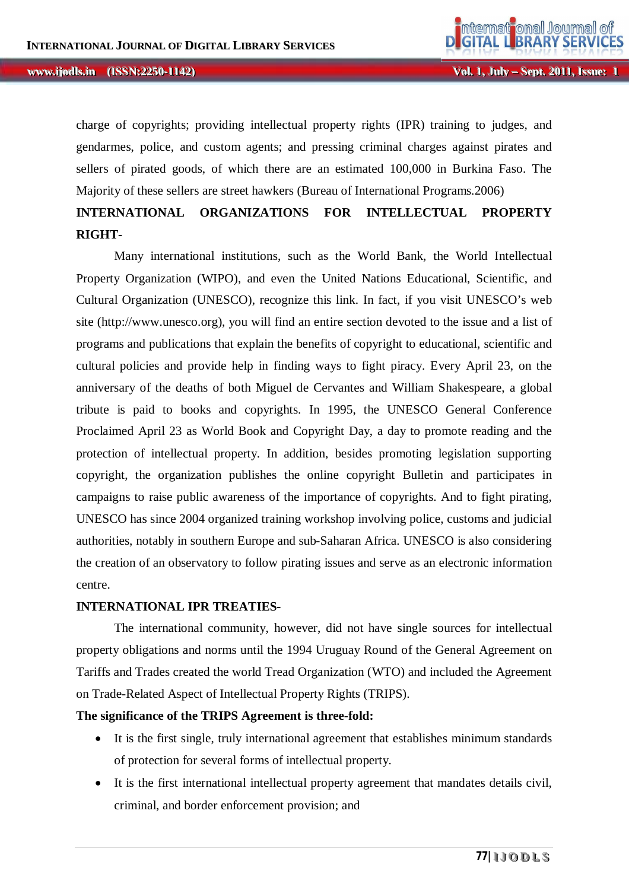charge of copyrights; providing intellectual property rights (IPR) training to judges, and gendarmes, police, and custom agents; and pressing criminal charges against pirates and sellers of pirated goods, of which there are an estimated 100,000 in Burkina Faso. The Majority of these sellers are street hawkers (Bureau of International Programs.2006)

# **INTERNATIONAL ORGANIZATIONS FOR INTELLECTUAL PROPERTY RIGHT-**

Many international institutions, such as the World Bank, the World Intellectual Property Organization (WIPO), and even the United Nations Educational, Scientific, and Cultural Organization (UNESCO), recognize this link. In fact, if you visit UNESCO's web site (http://www.unesco.org), you will find an entire section devoted to the issue and a list of programs and publications that explain the benefits of copyright to educational, scientific and cultural policies and provide help in finding ways to fight piracy. Every April 23, on the anniversary of the deaths of both Miguel de Cervantes and William Shakespeare, a global tribute is paid to books and copyrights. In 1995, the UNESCO General Conference Proclaimed April 23 as World Book and Copyright Day, a day to promote reading and the protection of intellectual property. In addition, besides promoting legislation supporting copyright, the organization publishes the online copyright Bulletin and participates in campaigns to raise public awareness of the importance of copyrights. And to fight pirating, UNESCO has since 2004 organized training workshop involving police, customs and judicial authorities, notably in southern Europe and sub-Saharan Africa. UNESCO is also considering the creation of an observatory to follow pirating issues and serve as an electronic information centre.

### **INTERNATIONAL IPR TREATIES-**

The international community, however, did not have single sources for intellectual property obligations and norms until the 1994 Uruguay Round of the General Agreement on Tariffs and Trades created the world Tread Organization (WTO) and included the Agreement on Trade-Related Aspect of Intellectual Property Rights (TRIPS).

### **The significance of the TRIPS Agreement is three-fold:**

- It is the first single, truly international agreement that establishes minimum standards of protection for several forms of intellectual property.
- It is the first international intellectual property agreement that mandates details civil, criminal, and border enforcement provision; and